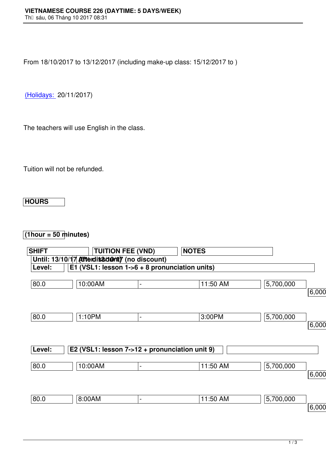From 18/10/2017 to 13/12/2017 (including make-up class: 15/12/2017 to )

(Holidays: 20/11/2017)

[The teache](http://www.vns.edu.vn/)rs will use English in the class.

Tuition will not be refunded.

## **HOURS**

## **(1hour = 50 minutes)**

| <b>SHIFT</b>                                            |                                                | <b>TUITION FEE (VND)</b>     | <b>NOTES</b> |           |          |  |  |  |  |
|---------------------------------------------------------|------------------------------------------------|------------------------------|--------------|-----------|----------|--|--|--|--|
| Until: 13/10/17 <b>Atterdit&amp;dumty</b> (no discount) |                                                |                              |              |           |          |  |  |  |  |
| Level:                                                  | E1 (VSL1: lesson 1->6 + 8 pronunciation units) |                              |              |           |          |  |  |  |  |
| 80.0                                                    | 10:00AM                                        | -                            | 11:50 AM     | 5,700,000 | 6,000,00 |  |  |  |  |
|                                                         |                                                |                              |              |           |          |  |  |  |  |
| 80.0                                                    | 1:10PM                                         | $\overline{\phantom{0}}$     | 3:00PM       | 5,700,000 |          |  |  |  |  |
|                                                         |                                                |                              |              |           | 6,000,00 |  |  |  |  |
| Level:                                                  | E2 (VSL1: lesson 7->12 + pronunciation unit 9) |                              |              |           |          |  |  |  |  |
| 80.0                                                    | 10:00AM                                        | $\qquad \qquad \blacksquare$ | 11:50 AM     | 5,700,000 |          |  |  |  |  |
|                                                         |                                                |                              |              |           | 6,000,00 |  |  |  |  |
| 80.0                                                    | 8:00AM                                         | $\blacksquare$               | 11:50 AM     | 5,700,000 |          |  |  |  |  |
|                                                         |                                                |                              |              |           | 6,000,00 |  |  |  |  |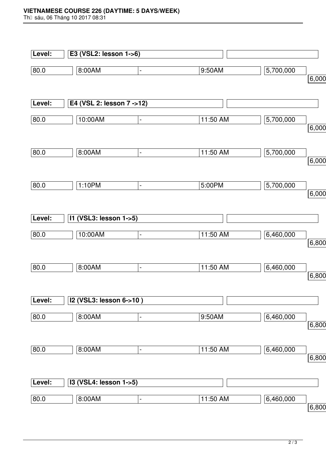## **VIETNAMESE COURSE 226 (DAYTIME: 5 DAYS/WEEK)**

Th⊡ sáu, 06 Tháng 10 2017 08:31

| Level: | E3 (VSL2: lesson 1->6)    |                              |          |           |       |
|--------|---------------------------|------------------------------|----------|-----------|-------|
| 80.0   | 8:00AM                    | $\blacksquare$               | 9:50AM   | 5,700,000 |       |
|        |                           |                              |          |           | 6,000 |
| Level: | E4 (VSL 2: lesson 7 ->12) |                              |          |           |       |
|        |                           |                              |          |           |       |
| 80.0   | 10:00AM                   | $\blacksquare$               | 11:50 AM | 5,700,000 |       |
|        |                           |                              |          |           | 6,000 |
| 80.0   | 8:00AM                    | $\blacksquare$               | 11:50 AM | 5,700,000 |       |
|        |                           |                              |          |           | 6,000 |
| 80.0   | 1:10PM                    |                              | 5:00PM   | 5,700,000 |       |
|        |                           | $\blacksquare$               |          |           | 6,000 |
|        |                           |                              |          |           |       |
| Level: | I1 (VSL3: lesson 1->5)    |                              |          |           |       |
| 80.0   | 10:00AM                   | $\blacksquare$               | 11:50 AM | 6,460,000 |       |
|        |                           |                              |          |           | 6,800 |
| 80.0   | 8:00AM                    | $\blacksquare$               | 11:50 AM | 6,460,000 |       |
|        |                           |                              |          |           | 6,800 |
|        |                           |                              |          |           |       |
| Level: | I2 (VSL3: lesson 6->10)   |                              |          |           |       |
| 80.0   | 8:00AM                    | $\qquad \qquad \blacksquare$ | 9:50AM   | 6,460,000 |       |
|        |                           |                              |          |           | 6,800 |
| 80.0   | 8:00AM                    | $\qquad \qquad \blacksquare$ | 11:50 AM | 6,460,000 |       |
|        |                           |                              |          |           | 6,800 |
|        |                           |                              |          |           |       |
| Level: | I3 (VSL4: lesson 1->5)    |                              |          |           |       |
| 80.0   | 8:00AM                    | $\qquad \qquad \blacksquare$ | 11:50 AM | 6,460,000 |       |
|        |                           |                              |          |           | 6,800 |